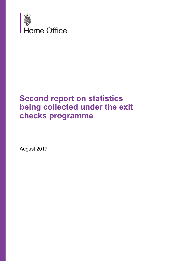

# **Second report on statistics being collected under the exit checks programme**

August 2017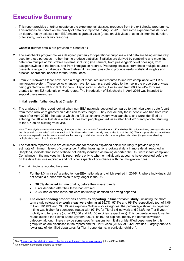# **Executive Summary**

1. This report provides a further update on the experimental statistics produced from the exit checks programme. This includes an update on the quality of data first reported in August 2016<sup>1</sup> and some experimental statistics on departures by selected non-EEA nationals granted visas (those on visit visas of up to six months' duration, or for study, work or family reasons).

**Context** (further details are provided at Chapter 1)

- 2. The exit checks programme was designed primarily for operational purposes and data are being extensively used for these purposes - rather than to produce statistics. Statistics are derived by combining and matching data from multiple administrative systems, including (via carriers) from passengers' ticket bookings, from passport swipes at the border, and from immigration records. Producing statistics from these multiple sources presents a range of challenges. Nevertheless, it has been possible to produce useful statistical insights and practical operational benefits for the Home Office.
- 3. From 2010 onwards there have been a range of measures implemented to improve compliance with UK's immigration system. These policy changes have, for example, contributed to the rise in the proportion of visas being granted from 73% to 95% for non-EU sponsored students (Tier 4), and from 88% to 94% for visas granted to non-EU nationals on work routes. The introduction of Exit checks in April 2015 was intended to support these measures.

### **Initial results** (further details at Chapter 2)

4. The analyses in this report look at when non-EEA nationals departed compared to their visa expiry date (apart from those who were granted an extension to stay longer). They include only those people who had both valid leave after April 2015 , the date at which the full exit checks system was launched, and were identified as entering the UK after that date – this includes both people granted visas after April 2015 and people returning to the UK on an existing valid visa.

Note: The analysis excludes the majority of visitors to the UK – who don't need a visa (UK and other EU nationals living overseas who visit the UK as well as 'non-visa' nationals such as US citizens who don't normally need a visa to visit the UK). The analyses also exclude those whose visa expired in earlier years, as well as the minority of visit visa holders who have long term visit visas (longer visas allowing multiple visits, each of up to six months).

5. The statistics reported here are estimates and for reasons explained below are likely to provide only an estimate of minimum levels of compliance. Further investigations looking at data in more detail, reported in Chapter 4, indicate that some of those not initially identified as having departed the UK, were in fact compliant. Compliance in the analyses in this report refers only to whether individuals appear to have departed before or on the date their visa expired – and not other aspects of compliance with the immigration rules.

The main findings reported here are:

- *i)* For the 1.34m visas<sup>2</sup> granted to non-EEA nationals and which expired in 2016/17, where individuals did not obtain a further extension to stay longer in the UK,
	- **96.3% departed in time** (that is, before their visa expired),
	- 0.4% departed after their leave had expired,
	- 3.3% had expired leave but were not initially identified as having departed
- *ii)* **The corresponding proportions shown as departing in time for visit, study** (including the short term study category) **or work visas were similar at 96.7%, 97.4% and 95.4%** respectively (out of 1.06 million, 181,024 and 79,013 visa expiries). Within work categories, the percentage shown as departing in time was higher for sponsored routes with 97.4% for Tier 2 skilled work and 94.8% for Tier 5 youth mobility and temporary (out of 43,306 and 24,156 expiries respectively). This percentage was lower for routes outside the Points Based System (90.9% of 10,138 expiries, mostly the domestic worker category, although there may be some specific reasons for initially unidentified departures for this group which are discussed in the report) and for Tier 1 visas (76.5% of 1,421 expiries – largely due to a lower rate of identified departures for Tier 1 dependants, in particular children).

<sup>1</sup> See '[A report on the statistics being collected under the exit checks programme](https://www.gov.uk/government/statistics/a-report-on-the-statistics-being-collected-under-the-exit-checks-programme)' (Home Office, 2016)

<sup>2</sup> Or in-country extensions of leave to remain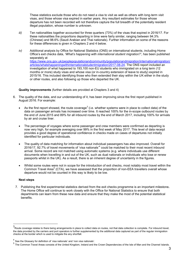These statistics exclude those who do not need a visa to visit as well as others with long-term visit visas, and those whose visa expired in earlier years. Any resultant estimates for those whose departure has not been recorded will not therefore capture the full breadth of the potentially resident illegal population, whose number is unknown.

- *iii)* Ten nationalities together accounted for three quarters (73%) of the visas that expired in 2016/17. For these nationalities the proportions departing in time were fairly similar, ranging between 94.3% (Chinese) and 98.6% (Saudi Arabian and Thai nationals). Further information on some of the reasons for these differences is given in Chapters 2 and 4 below.
- *iv)* Additional analysis by Office for National Statistics (ONS) on international students, including Home Office's exit checks data, *'What's happening with international student migration?'*, has been published separately at [https://www.ons.gov.uk/peoplepopulationandcommunity/populationandmigration/internationalmigration/](https://www.ons.gov.uk/peoplepopulationandcommunity/populationandmigration/internationalmigration/articles/whatshappeningwithinternationalstudentmigration/2017-08-24) [articles/whatshappeningwithinternationalstudentmigration/2017-08-24.](https://www.ons.gov.uk/peoplepopulationandcommunity/populationandmigration/internationalmigration/articles/whatshappeningwithinternationalstudentmigration/2017-08-24) The ONS report included an investigation of what happened to 193,100 non-EU students who immigrated on a long term (12 months or more) study visas and whose visa (or in-country extension of leave to study) expired in 2015/16. This included identifying those who then extended their stay within the UK either in the study or other routes, and also following up those who departed the UK.

## **Quality improvements** (further details are provided at Chapters 3 and 4)

- 6. The quality of the data, and our understanding of it, has been improving since the first report published in August 2016. For example:
	- As the first report showed, the route coverage<sup>3</sup> (i.e. whether systems were in place to collect data) of the data on passenger arrivals has increased over time. It reached 100% for the in-scope outbound routes by the end of June 2015 and 89% for all inbound routes by the end of March 2017, including 100% for arrivals by air and cruise liner.
	- The percentage of voyages where some passenger and crew members were confirmed as departing is now very high, for example averaging over 99% in the first week of May 2017. This level of data receipt provides a good degree of operational confidence in checks made on cases of departures not initially identified for particular individuals.
	- The quality of data matching for information about individual passengers has also improved. Overall for 2016/17, 92.7% of travel movements of 'visa nationals'<sup>4</sup> could be matched to their most recent inbound arrival. Some record are not matched using automatic systems (e.g. where individuals use different documents when travelling in and out of the UK, such as dual nationals or individuals who lose or renew passports whilst in the UK). As a result, there is an inherent degree of uncertainty in the figures.
	- Whilst some routes were not in scope for the introduction of exit checks, most notably most travel within the Common Travel Area<sup>5</sup> (CTA), we have assessed that the proportion of non-EEA travellers overall whose departure would not be counted in this way is likely to be low.

## **Next steps**

7. Publishing the first experimental statistics derived from the exit checks programme is an important milestone**.** The Home Office will continue to work closely with the Office for National Statistics to ensure that both departments can learn from these new data and ensure that they make the most of the potential statistical benefits.

 3 Route coverage relates to there being arrangements in place to collect data on routes, not that data collection is complete. For inbound travel, the data provided by the carriers and port operators is further supplemented by the additional data captured as part of the regular immigration checks at the border which is used to mitigate the any shortfall.

<sup>&</sup>lt;sup>4</sup> See the Glossary for definition of 'visa nationals' and 'non visa nationals'.

<sup>&</sup>lt;sup>5</sup> The Common Travel Areas consists of the United Kingdom, Ireland and the Crown Dependencies of the Isle of Man and the Channel Islands.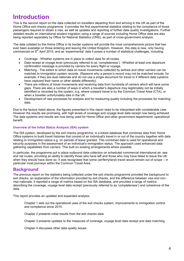# **Introduction**

This is the second report on the data collected on travellers departing from and arriving in the UK as part of the Home Office exit checks programme. It provides the first experimental statistics relating to the compliance of those passengers required to obtain a visa, as well as updates and reporting of further data quality investigations. Further detailed results on international student migration using a range of sources including Home Office data are also being reported separately by Office for National Statistics (ONS), as part of cross-government analysis.

The data collated by the Home Office in its border systems will provide the most comprehensive picture that has ever been available on those entering and leaving the United Kingdom. However, this data is new, only having commenced on  $8<sup>th</sup>$  April 2015, and as 'experimental' data it poses a number of statistical challenges, including:

- Coverage Whether systems are in place to collect data for all routes.
- Data receipt at voyage level (previously referred to as 'completeness') Whether at least one departure confirmation message is provided by carriers for every flight or voyage.
- Matching The extent to which data on travel movements collected by airlines and other carriers can be matched to immigration system records. (Reasons why a person's record may not be matched include, for example, if they are dual nationals and do not use a single document for travel or if different data systems have captured their name or other details differently).
- There are millions of travel movements and receiving data from hundreds of carriers which will have some gaps. There are also a number of ways in which a traveller's departure may legitimately not be initially identified or recorded by the system, e.g. where outward travel is by the Common Travel Area (CTA), or when a traveller unfortunately dies in the UK.
- Development of new processes for analysis and for measuring quality including the processes for matching data.

Due to the factors listed above, the figures presented in this report need to be interpreted with considerable care. However the results are promising, with high levels of coverage and voyage level data receipt now being achieved. The data systems and results are now being used for Home Office and other government departments' operational benefit.

## **Overview of the Initial Status Analysis (ISA) system**

The ISA system, developed by the exit checks programme, is a linked database that combines data from Home Office systems to build travel histories that consist of an individual's travel in or out of the country together with data relating to immigration status e.g. on periods of leave granted. This combined data is used for operational and security purposes in the assessment of an individual's immigration status. The approach used enhanced data gathering capabilities from carriers. This built on existing arrangements where possible.

In particular, the programme put in place outbound data collection on scheduled commercial international air, sea and rail routes, providing an ability to identify those who have left and those who may have failed to leave the UK when they should have done so. It was recognised that some (air/ferry/land) travel would remain out of scope – in particular most journeys within the Common Travel Area.

## **Background**

The previous report on the statistics being collected under the exit checks programme provided the background to exit checks, an explanation of the information provided by exit checks, and the difference between visa and nonvisa nationals. It reported a range of metrics based on the ISA database, and provided a range of metrics describing the coverage, voyage level data receipt (previously referred to as 'completeness') and coherence of the data.

This report provides an updated and expanded analysis:

Chapter 1 sets out the operational uses of the exit checks system, improvements to immigration control and compliance since 2010.

Chapter 2 presents initial results from the exit checks data.

Chapter 3 presents updates to the measures of coverage, voyage level data receipt and data matching.

Chapter 4 discusses other data quality issues.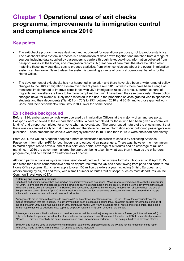# **Chapter 1 Operational uses of exit checks programme, improvements to immigration control and compliance since 2010**

# **Key points**

- The exit checks programme was designed and introduced for operational purposes, not to produce statistics. The exit checks data system in practice is a combination of data drawn together and matched from a range of sources including data supplied by passengers to carriers through ticket bookings, information collected from passport swipes at the border, and immigration records. A great deal of care must therefore be taken when matching these individual data sets to produce statistics, from which conclusions about the overall immigration system can be drawn. Nevertheless the system is providing a range of practical operational benefits for the Home Office.
- The development of exit checks has not happened in isolation and there have also been a wide range of policy changes to the UK's immigration system over recent years. From 2010 onwards there have been a range of measures implemented to improve compliance with UK's immigration rules. As a result, current cohorts of migrants and travellers are likely to be more compliant than might have been the case previously. These policy changes have, for example, likely been reflected in the rise in the proportion of visas granted visa to sponsored students and their dependents (Tier 4) from 73% to 95% between 2010 and 2016, and to those granted work visas (and their dependants) from 88% to 94% over the same period.

## **Exit checks background**

Before 1994, embarkation controls were operated by Immigration Officers at the majority of air and sea ports. Passports were checked at the embarkation control, a card completed for those who had been given a 'controlled landing' and a report completed for anyone who had overstayed. The paper-based nature of the checks meant that there was only limited ability to match records and therefore no usable information about outbound passengers was published. These embarkation checks were largely removed in 1994 and then in 1998 were abolished completely.

From 2004, the United Kingdom adopted a more sophisticated approach to checks by collecting Advance Passenger Information (API) for both inbound and outbound air passengers. There was, however, no mechanism to match departures to arrivals, and at this point only partial coverage of air routes and no coverage of rail and maritime. In 2010 the government altered the approach being taken by what was then known as the e-Borders programme, and committed to 'reintroduce exit checks'.

Although partly in place as systems were being developed, exit checks were formally introduced on 8 April 2015, and since then more comprehensive data on departures from the UK has been flowing from ports and carriers into Home Office systems. Exit checks apply to over 100 million travellers a year, including British, European and others arriving by air, rail and ferry, with a small number of routes 'out of scope' such as most departures via the Common Travel Area (CTA).

### **Obtaining and developing the data**

Significant and continuing work has occurred on data improvement and assurance. Measures were introduced, through the Immigration Act 2014, to give carriers and port operators the powers to carry out embarkation checks on exit, and to give the government the power to compel them to do so if necessary. The Home Office has worked closely with the industry to deliver exit checks without the use of this permissive power. Since 8 April 2015, as a result of this collaboration, exit checks on outbound travel have covered all in-scope scheduled commercial international air, sea and rail routes.

Arrangements are in place with carriers to process API or Travel Document Information (TDI) for 100% of the outbound travel for modes of transport that are in scope. The government has been processing inbound travel data from carriers for some time and as of the end of March 2017 data was supplied on 89% of inbound routes, with 100% coverage for air routes and cruise ships. This data is further supplemented by additional data captured as part of regular immigration checks at the border.

Passenger data is submitted in advance of travel for most scheduled aviation journeys (as Advance Passenger Information or API) but only collected at the point of departure for other modes of transport (as Travel Document Information or TDI). For statistical purposes API and TDI provide essentially the same information on travel movements apart from TDI not being submitted in advance of travel.

Both API and TDI are used to provide the information for exit checks on people leaving the UK and for the remainder of this report references made to API will also include TDI unless otherwise indicated.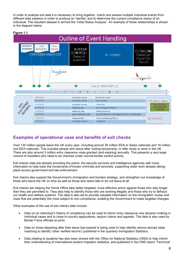In order to analyse exit data it is necessary to bring together, match and assess multiple individual events from different data systems in order to produce an 'identity' and to determine the current compliance status of an individual. The resultant dataset is termed the 'Initial Status Analysis'. An example of these relationships is shown in the diagram below.

## **Figure 1.1**



## **Examples of operational uses and benefits of exit checks**

Over 130 million people leave the UK every year, including around 36 million EEA or Swiss nationals and 16 million non-EEA nationals. This includes people who leave after visiting temporarily, or after study or work in the UK. There are also around 3 million entry clearance visas granted (and expiring) annually. This presents a very large volume of travellers who need to be checked under normal border control activity.

Exit checks data are already providing the police, the security services and intelligence agencies with more information to help track the movements of known criminals and terrorists, supporting wider work already taking place across government and law enforcement.

Exit checks also support the Government's immigration and borders strategy, and strengthen our knowledge of those who leave the UK on time as well as those who leave late or do not leave at all.

Exit checks are helping the Home Office take better targeted, more effective action against those who stay longer than they are permitted to. They also help to identify those who are working illegally and those who try to defraud our health and welfare systems. The data is also set to provide valuable information on the immigration routes and visas that are potentially the most subject to non-compliance, enabling the Government to make targeted changes.

Other examples of the use of exit checks data include:

- Data on an individual's history of compliance can be used to inform entry clearance visa decision-making in individual cases and to close in-country applications, asylum claims and appeals. The data is also used by Border Force officials at ports.
- Data on those departing after their leave has expired is being used to help identify returns abroad (data matching to identify 'other verified returns') published in the quarterly Immigration Statistics.
- Data relating to students has also been shared with the Office for National Statistics (ONS) to help inform their understanding of international student migration statistics, and published in the ONS report 'Technical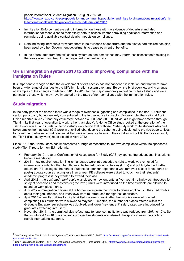paper: International Student Migration – August 2017' at [https://www.ons.gov.uk/peoplepopulationandcommunity/populationandmigration/internationalmigration/artic](https://www.ons.gov.uk/peoplepopulationandcommunity/populationandmigration/internationalmigration/articles/internationalstudentmigrationresearchupdate/august2017) [les/internationalstudentmigrationresearchupdate/august2017.](https://www.ons.gov.uk/peoplepopulationandcommunity/populationandmigration/internationalmigration/articles/internationalstudentmigrationresearchupdate/august2017)

- Immigration Enforcement are using information on those with no evidence of departure and also information for those close to their expiry date to assess whether providing additional information and reminders using available contact details impacts on compliance.
- Data indicating individuals for whom there is no evidence of departure and their leave had expired has also been used by other Government departments to cease payment of benefits.
- In the future, data from the exit checks system on non-compliance may inform risk assessments relating to the visa system, and help further target enforcement activity.

## **UK's immigration system 2010 to 2016: improving compliance with the Immigration Rules**

It is important to recognise that the development of exit checks has not happened in isolation and that there have been a wide range of changes to the UK's immigration system over time. Below is a brief overview giving a range of examples of the changes made from 2010 to 2016 for the major temporary migration routes of study and work, particularly those which may have impacted on the rates of non-compliance with the immigration rules.

## **Study migration**

In the early part of the decade there was a range of evidence suggesting non-compliance in the non-EU student sector, particularly but not entirely concentrated in the further education sector. For example, the National Audit Office reported in 2012<sup>6</sup> that they estimated "between 40,000 and 50,000 individuals might have entered through Tier 4 in its first year of operation to work rather than study". A Home Office study looked at the operation of the Tier 1 work route<sup>7</sup>, and in relation to post-study work found that of those Post-study work route students who had taken employment at least 60% were in unskilled jobs, despite the scheme being designed to provide opportunities for non-EEA graduates to find relevant skilled work experience following their studies in the UK. Partly as a result, the Tier 1 (Post-study work) route closed in April 2012.

Since 2010, the Home Office has implemented a range of measures to improve compliance within the sponsored study (Tier 4) route for non-EU nationals:

- February 2010 use of Confirmation of Acceptance for Study (CAS) by sponsoring educational institutions became mandatory.
- 2011 new requirements for English language were introduced; the right to work was removed for international students other than those at higher education institutions (HEIs) and publicly-funded further education (FE) colleges; the right of students to sponsor dependants was removed except for students on post-graduate courses lasting less than a year; FE colleges were asked to vouch for their students' academic progress if they wanted to extend their visa.
- April 2012 the *post-study work route* was closed to new entrants; a five -year time limit was introduced for study at bachelor's and master's degree level; limits were introduced on the time students are allowed to spend on work placements.
- July 2012 immigration officers at the border were given the power to refuse applicants if they had doubts about their genuineness, and interviews were re-introduced for high-risk applicants.
- April 2013 new flexibilities for highly skilled workers to work after their studies were introduced: completing PhD students were allowed to stay for 12 months, the number of places offered within the Graduate Entrepreneur scheme was doubled, and lower "new entrant" salary rates were introduced for graduates switching into Tier 2.
- November 2014 the permitted visa refusal rate for sponsor institutions was reduced from 20% to 10%. So that in future if 1 in 10 of a sponsor's prospective students are refused, the sponsor loses the ability to recruit international students.

<sup>—&</sup>lt;br>6 See 'Immigration: The Points Based System - The Student Route' (NAO, 2012) [https://www.nao.org.uk/report/immigration-the-points-based](https://www.nao.org.uk/report/immigration-the-points-based-system-student-route/)[system-student-route/](https://www.nao.org.uk/report/immigration-the-points-based-system-student-route/)<br>7.0 se iDainte Desert 6

See 'Points Based System Tier 1 - An Operational Assessment' (Home Office, 2010[\) https://www.gov.uk/government/publications/points](https://www.gov.uk/government/publications/points-based-system-tier-1-an-operational-assessment)[based-system-tier-1-an-operational-assessment](https://www.gov.uk/government/publications/points-based-system-tier-1-an-operational-assessment)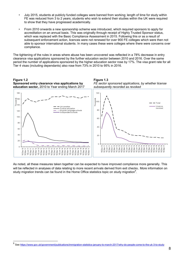- July 2015, students at publicly funded colleges were banned from working; length of time for study within FE was reduced from 3 to 2 years; students who wish to extend their studies within the UK were required to show that they have progressed academically.
- From 2010 onwards a new sponsorship scheme was introduced, which required sponsors to apply for accreditation on an annual basis. This was originally through receipt of Highly Trusted Sponsor status, which was replaced with the Basic Compliance Assessment in 2015. Following this or as a result of subsequent enforcement action, licences were not renewed for over 900 FE colleges which were then not able to sponsor international students. In many cases these were colleges where there were concerns over compliance.

The tightening of the rules in areas where abuse has been uncovered was reflected in a 78% decrease in entry clearance visa applications sponsored by the further education sector between 2010 and 2016. Over the same period the number of applications sponsored by the higher education sector rose by 17%. The visa grant rate for all Tier 4 visas (including dependants) also rose from 73% in 2010 to 95% in 2016.



As noted, all these measures taken together can be expected to have improved compliance more generally. This will be reflected in analyses of data relating to more recent arrivals derived from exit checks. More information on study migration trends can be found in the Home Office statistics topic on study migration<sup>8</sup>.

<sup>8</sup> Se[e https://www.gov.uk/government/publications/immigration-statistics-january-to-march-2017/why-do-people-come-to-the-uk-3-to-study](https://www.gov.uk/government/publications/immigration-statistics-january-to-march-2017/why-do-people-come-to-the-uk-3-to-study)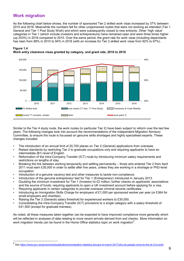## **Work migration**

l

As the following chart below shows, the number of sponsored Tier 2 skilled work visas increased by 37% between 2010 and 2016. Meanwhile the numbers fell for other unsponsored routes that were not working as intended (Tier 1 General and Tier 1 Post Study Work) and which were subsequently closed to new entrants. Other 'high value' categories in Tier 1 (which include investors and entrepreneurs) have remained open and were three times higher (up 203%) in 2016 compared to 2010. Over the same period, the grant rate for work visas (including dependants has risen from 88% in 2010 to 94% in 2016 (with an increase for Tier 2 skilled work visas from 92% to 97%).



#### **Figure 1.4 Work entry clearance visas granted by category, and grant rate, 2010 to 2016**

Similar to the Tier 4 study route, the work routes (in particular Tier 2) have been subject to reform over the last few years. The following changes took into account the recommendations of the independent Migration Advisory Committee, to ensure the route is focussed on genuine skills shortages and highly specialised experts. These changes included:

- The introduction of an annual limit of 20,700 places on Tier 2 (General) applications from overseas.
- Raised standards by restricting Tier 2 to graduate occupations only and requiring applicants to have an intermediate (B1) level of English.
- Reformation of the Intra-Company Transfer (ICT) route by introducing minimum salary requirements and restrictions on lengths of stay.
- Breaking the link between working temporarily and settling permanently those who entered Tier 2 from April 2011 must earn £35,000 in order to settle after five years, unless they are working in a shortage or PhD-level occupation.
- Introduction of a genuine vacancy test and other measures to tackle non-compliance.
- Introduction of the genuine entrepreneur test for Tier 1 (Entrepreneur) introduced in January 2013.
- Doubling the minimum investment for Tier 1 (Investor) to £2 million; further checks on applicants' associations and the source of funds; requiring applicants to open a UK investment account before applying for a visa.
- Requiring applicants in certain categories to provide overseas criminal records certificates.
- Introducing an Immigration Skills Charge for employers of £1,000 per sponsored worker per year (or £364 for small employers and charities).
- Raising the Tier 2 (General) salary threshold for experienced workers to £30,000.
- Consolidating the Intra-Company Transfer (ICT) provisions to a single category with a salary threshold of £41,500 (except for graduate trainees).

As noted, all these measures taken together can be expected to have improved compliance more generally which will be reflected in analyses of data relating to more recent arrivals derived from exit checks. More information on work migration trends can be found in the Home Office statistics topic on work migration<sup>9</sup>.

<sup>9</sup> See https://www.qov.uk/qovernment/publications/immigration-statistics-january-to-march-2017/why-do-people-come-to-the-uk-2-to-work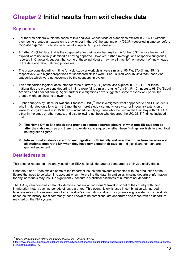# **Chapter 2 Initial results from exit checks data**

## **Key points**

- For the visa holders within the scope of this analysis, whose visas or extensions expired in 2016/17 without them being granted an extension to stay longer in the UK, the vast majority (96.3%) departed in time i.e. before their visa expired. Note this does not cover other aspects of compliant behaviour.
- A further 0.4% left late, that is they departed after their leave had expired. A further 3.3% whose leave had expired were not initially identified as having departed. However, further investigations of specific subgroups, reported in Chapter 4, suggest that some of these individuals may have in fact left, on account of known gaps in the data and data matching processes.
- The proportions departing in time for visit, study or work visas were similar at 96.7%, 97.4% and 95.4% respectively, with higher proportions for sponsored skilled work (Tier 2 skilled work 97.4%) than those visa categories which were not governed by the sponsorship system.
- Ten nationalities together accounted for three quarters (73%) of the visa expiries in 2016/17. For these nationalities the proportions departing in time were fairly similar, ranging from 94.3% (Chinese) to 98.6% (Saudi Arabians and Thai nationals). Again, further investigations have suggested some reasons why particular groups might be showing a lower rate.
- Further analysis by Office for National Statistics  $(ONS)^{10}$  has investigated what happened to non-EU students who immigrated on a long term (12 months or more) study visa and whose visa (or in-country extension of leave to study) expired in 2015/16. This included identifying those who then extended their stay within the UK either in the study or other routes, and also following up those who departed the UK. ONS' findings included that :
	- **The Home Office Exit check data provides a more accurate picture of what non-EU students do after their visa expires** and there is no evidence to suggest whether these findings are likely to affect total net migration figures
	- **International students do add to net migration both initially and over the longer term because not all students depart the UK when they have completed their studies** and significant numbers are granted settlement.

## **Detailed results**

l

This chapter reports on new analyses of non-EEA nationals departures compared to their visa expiry dates.

Chapters 3 and 4 then explain some of the important issues and caveats connected with the production of the figures that need to be taken into account when interpreting the data. In particular, missing departure information for any individuals may result in significantly inaccurate statistical estimates of numbers not departed.

The ISA system combines data into identities that link an individual's travel in or out of the country with their immigration history such as periods of leave granted. This event history is used in combination with agreed business rules in the assessment of an individual's immigration status. The system assigns a status to individuals based on this history, most commonly those known to be compliant, late departures and those with no departure matched on the ISA system.

<sup>10</sup> See '*Technical paper: International Student Migration – August 2017'* at

[https://www.ons.gov.uk/peoplepopulationandcommunity/populationandmigration/internationalmigration/articles/internationalstudentmigrationrese](https://www.ons.gov.uk/peoplepopulationandcommunity/populationandmigration/internationalmigration/articles/internationalstudentmigrationresearchupdate/august2017) [archupdate/august2017.](https://www.ons.gov.uk/peoplepopulationandcommunity/populationandmigration/internationalmigration/articles/internationalstudentmigrationresearchupdate/august2017)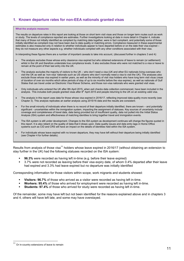## **1. Known departure rates for non-EEA nationals granted visas**

#### **What the analysis measures**

The results on departure rates in this report are looking at those on short term visit visas and those on longer term routes such as work or study. The levels of compliance reported are estimates. Further investigations looking at data in more detail in Chapter 4, indicate that many of those not initially identified as compliant by matching data together, were in fact compliant, and potentially some of those initially identified as compliant may not have been due to data quality or matching errors. Compliance measured in these experimental estimates is also measured only in relation to whether individuals appear to have departed before or on the date their visa expired – they do not measure any other aspects e.g. whether individuals complied with any other conditions associated with their visa.

In interpreting these figures there are a number of important caveats to take into account, (discussed further in chapters 3 and 4):

- The analysis excludes those whose entry clearance visa expired but who obtained extensions of leave to remain (or settlement) whilst in the UK and therefore understate true compliance levels. It also excludes those who were not matched to a visa or leave to remain at the point of their last entry into the UK.
- The analysis excludes the majority of visitors to the UK who don't need a visa (UK and other EU nationals living overseas who visit the UK as well as 'non-visa' nationals such as US citizens who don't normally need a visa to visit the UK). The analyses also exclude those whose visa expired in earlier years, as well as the minority of visit visa holders who have long term visit visas (visas of duration of over six months which allow periods of stay of up to six months before the visa expires), as well as nationals of Gulf States that can travel under an Electronic Visa Waiver Scheme, and those non-visa nationals who were granted visit visas.
- Only individuals who entered the UK after 8th April 2015, when exit checks data collection commenced, have been included in the analysis. This includes both people granted visas after 8<sup>th</sup> April 2015 and people returning to the UK on an existing valid visa.
- The analysis in this report uses data for those whose visa expired in 2016/17, reflecting improved data quality more recently (see Chapter 3). This analysis replicates an earlier analysis using 2015/16 data and the results are consistent.
- For the small minority of individuals when there is no record of their departure initially identified, there are known and potentially significant - uncertainties within the immigration system, impacting the assignment of statuses. Key sources of uncertainty include coverage and completeness of travel data, data being provided but of insufficient quality, data not pulled into the Initial Status Analysis (ISA) system and effectiveness of matching identities to bring together travel and immigration events.
- The ISA system is still under development. Changes to the ISA system as development continues will change the figures quoted in this report. It is also reliant on the quality of data that it draws upon. Data quality issues and data entry lags in Home Office systems such as CID and CRS will have an impact on the details of identities held within the ISA system.
- For individuals whose leave expired with no known departure, they may have left without their departure being initially identified (see Chapter 4 for further details).

Results from analysis of those visa<sup>11</sup> holders whose leave expired in 2016/17 (without obtaining an extension to stay further in the UK) had the following statuses recorded on the ISA system:

- **96.3%** were recorded as having left in-time (e.g. before their leave expired)
- 3.7% were not recorded as leaving before their visa expiry date, of whom 0.4% departed after their leave had expired and 3.3% had leave expired but no departure was initially identified

Corresponding information for those visitors within scope, work migrants and students showed:

- **Visitors: 96.7%** of those who arrived as a visitor were recorded as having left in-time.
- **Workers: 95.4%** of those who arrived for employment were recorded as having left in-time.
- **Students: 97.4%** of those who arrived for study were recorded as having left in-time.

Of the remainder, some may have left but not been identified for the reasons explained above and in chapters 3 and 4, others will have left late, and some may have overstayed.

Or in-country extensions of leave to remain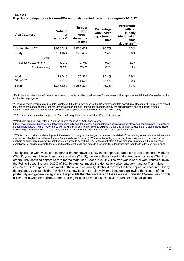### **Table 2.1 Expiries and departures for non-EEA nationals granted visas<sup>11</sup> by category - 2016/17**

| <b>Visa Category</b>         | <b>Volume</b><br>οf<br>expiries* | <b>Number</b><br>with<br>known<br>departure<br>in time | Percentage<br>with known<br>departure in<br>time | Percentage<br>with no<br>initially<br>identified in<br>time<br>departure** |
|------------------------------|----------------------------------|--------------------------------------------------------|--------------------------------------------------|----------------------------------------------------------------------------|
| Visiting the UK***           | 1,058,212                        | 1,023,057                                              | 96.7%                                            | 3.3%                                                                       |
| Study                        | 181,024                          | 176,407                                                | 97.4%                                            | 2.6%                                                                       |
| Of which                     |                                  |                                                        |                                                  |                                                                            |
| Sponsored study (Tier 4)**** | 112,270                          | 108,930                                                | 97.0%                                            | 3.0%                                                                       |
| Short term study             | 68,754                           | 67,477                                                 | 98.1%                                            | 1.9%                                                                       |
|                              |                                  |                                                        |                                                  |                                                                            |
| Work                         | 79,013                           | 75,381                                                 | 95.4%                                            | 4.6%                                                                       |
| Other*****                   | 17,433                           | 11,526                                                 | 66.1%                                            | 33.9%                                                                      |
| Total                        | 1,335,682                        | 1,286,371                                              | 96.3%                                            | $3.7\%$                                                                    |

\*Excludes a small number of cases where there is specific additional evidence of further leave or that a person has left the UK or evidence of an application in progress.

\*\* Includes cases where departure data is not found due to known gaps in the ISA system, and late departures. Reasons why a person's record may not be matched and therefore not identify a departure may include, for example, if they are dual nationals and do not use a single document for travel or if different data systems have captured their name or other details differently.

\*\*\* Excludes non-visa nationals (who don't normally require a visa to visit the UK e.g. US nationals).

\*\*\*\*Includes pre-PBS equivalents. Note the figures reported by ONS separately at [https://www.ons.gov.uk/peoplepopulationandcommunity/populationandmigration/internationalmigration/articles/whatshappeningwithinternational](https://www.ons.gov.uk/peoplepopulationandcommunity/populationandmigration/internationalmigration/articles/whatshappeningwithinternationalstudentmigration/2017-08-24) [studentmigration/2017-08-24](https://www.ons.gov.uk/peoplepopulationandcommunity/populationandmigration/internationalmigration/articles/whatshappeningwithinternationalstudentmigration/2017-08-24) cover those with long term (1 year or more) visas expiring, relate only to main applicants, and also include those who were granted extensions to stay further in the UK, and therefore will differ from the figures presented here.

\*\*\*\*\*After visitors, study and employment, the most common type of visas granted are family–related. Visas relating to family and resettlement in due course often lead to settlement grants (indefinite leave to remain). Where settlement grants occur, these cases are not included in this analysis as such individuals would not then be expected to depart the UK. Consequently this 'Other' category understates the true level of compliance of individuals granted family and resettlement visas and records a lower in-time departure rate than the true level of compliance.

The figures for work visas can be further broken down to show the comparable rates for skilled sponsored workers (Tier 2), youth mobility and temporary workers (Tier 5), the exceptional talent and entrepreneurial visas (Tier 1) and others. The identified departure rate for the main Tier 2 visas is 97.4%. The rate was lower for work routes outside the Points Based System (90.9% of 10,130 expiries, mostly the domestic worker category) and for Tier 1 visas (76.5% of 1,421 expiries – with most of those with no initially identified record of in-time departure accounted for by dependants, such as children) which have now become a relatively small category (following the closure of the post-study and general categories). It is possible that the travellers on the Overseas Domestic Workers visa or with a Tier 1 visa were more likely to depart using less usual routes, such as via Europe or on small aircraft.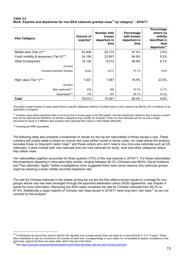## **Table 2.2 Work: Expiries and departures for non-EEA nationals granted visas<sup>11</sup> by category\* - 2016/17**

| <b>Visa Category</b>                   | <b>Volume of</b><br>expiries* | <b>Number with</b><br>known<br>departure in<br>time | Percentage<br>with known<br>departure in<br>time | Percentage<br>where no<br>initially<br>identified in<br>time<br>departure** |
|----------------------------------------|-------------------------------|-----------------------------------------------------|--------------------------------------------------|-----------------------------------------------------------------------------|
| Skilled work (Tier 2)***               | 43,306                        | 42,175                                              | 97.4%                                            | 2.6%                                                                        |
| Youth mobility & temporary (Tier 5)*** | 24,156                        | 22,907                                              | 94.8%                                            | 5.2%                                                                        |
| <b>Other Employment</b>                | 10,130                        | 9,212                                               | 90.9%                                            | 9.1%                                                                        |
| Of which                               |                               |                                                     |                                                  |                                                                             |
| <b>Overseas Domestic Workers</b>       | 9,022                         | 8,217                                               | 91.1%                                            | 8.9%                                                                        |
|                                        |                               |                                                     |                                                  |                                                                             |
| High value (Tier 1)***                 | 1,421                         | 1,087                                               | 76.5%                                            | 23.5%                                                                       |
| Of which                               |                               |                                                     |                                                  |                                                                             |
| Main applicants***                     | 676                           | 590                                                 | 87.3%                                            | 12.7%                                                                       |
| Dependants***                          | 745                           | 497                                                 | 66.7%                                            | 33.3%                                                                       |
| <b>Total</b>                           | 79,013                        | 75,381                                              | 95.4%                                            | 4.6%                                                                        |

\*Excludes a small number of cases where there is specific additional evidence of further leave or that a person has left the UK or evidence of an application in progress.

\*\* Includes cases where departure data is not found due to known gaps in the ISA system, and late departures. Reasons why a person's record may not be matched and therefore not identify a departure may include, for example, if they are dual nationals and do not use a single document for travel or if different data systems have captured their name or other details differently.

\*\*\*including pre-PBS equivalents

l

The following table also presents a breakdown of results for the top ten nationalities of those issued a visa. These numbers will mostly relate to those on normal visit visas (either tourist or family visits). As noted above the analysis excludes those on long-term visitor visas<sup>12</sup> and those visitors who don't need a visa (non-visa nationals such as US nationals). It does include both visa nationals and non-visa nationals for study, work and other categories where they obtain visas.

Ten nationalities together accounted for three quarters (73%) of the visa expiries in 2016/17. For these nationalities the proportions departing in time were fairly similar, ranging between 94.3% (Chinese) and 98.6% (Saudi Arabians and Thai nationals). Again, further investigations have suggested there were some reasons why particular groups might be showing a lower initially recorded departure rate.

The rate for Chinese nationals in the lowest among the top ten but this reflects known issues in coverage for tour groups whose visa has been arranged through the approved destination status (ADS) agreement, see chapter 4 below for more information. Removing the ADS cases increases the rate for Chinese nationals from 94.3% to 97.4%. Additionally a large majority of Chinese visit visas issued in 2016/17 were long term visit visas<sup>13</sup> so are not covered by this analysis.

<sup>12</sup> If individuals can prove they need to visit the UK regularly over a longer period, they can apply for a visa that lasts 2, 5 or 10 years. These allow individuals to stay for a maximum of 6 months on each visit. Correspondingly in such cases it is not possible to assess compliance in the same way, against the final visa expiry date, which may be in the future.

<sup>13</sup> See<https://www.gov.uk/government/news/the-home-office-launches-new-two-year-chinese-visa-pilot>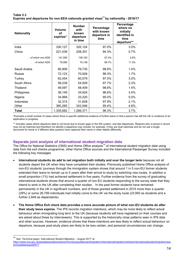## **Table 2.3 Expiries and departures for non-EEA nationals granted visas<sup>11</sup> by nationality - 2016/17**

| <b>Nationality</b> | Volume<br>οf<br>expiries* | <b>Number</b><br>with<br>known<br>departure<br>in time | Percentage<br>with known<br>departure in<br>time | Percentage<br>where no<br>initially<br>identified in<br>time<br>departure** |
|--------------------|---------------------------|--------------------------------------------------------|--------------------------------------------------|-----------------------------------------------------------------------------|
| India              | 330,127                   | 320,124                                                | 97.0%                                            | 3.0%                                                                        |
| China              | 221,039                   | 208,351                                                | 94.3%                                            | 5.7%                                                                        |
| - of which non-ADS | 141,950                   | 138,193                                                | 97.4%                                            | 2.6%                                                                        |
| - of which ADS     | 79,089                    | 70,158                                                 | 88.7%                                            | 11.3%                                                                       |
| Saudi Arabia       | 80,906                    | 79,735                                                 | 98.6%                                            | 1.4%                                                                        |
| Russia             | 72,123                    | 70,926                                                 | 98.3%                                            | 1.7%                                                                        |
| Turkey             | 62,454                    | 60,579                                                 | 97.0%                                            | 3.0%                                                                        |
| South Africa       | 56,239                    | 54,929                                                 | 97.7%                                            | 2.3%                                                                        |
| Thailand           | 49,097                    | 48,409                                                 | 98.6%                                            | 1.4%                                                                        |
| Philippines        | 36,149                    | 34,924                                                 | 96.6%                                            | 3.4%                                                                        |
| Nigeria            | 34,968                    | 33,220                                                 | 95.0%                                            | 5.0%                                                                        |
| Indonesia          | 32,315                    | 31,628                                                 | 97.9%                                            | 2.1%                                                                        |
| Other              | 360,265                   | 343,546                                                | 95.4%                                            | 4.6%                                                                        |
| <b>Total</b>       | 1,335,682                 | 1,286,371                                              | 96.3%                                            | 3.7%                                                                        |

\*Excludes a small number of cases where there is specific additional evidence of further leave or that a person has left the UK or evidence of an application in progress.

\*\* Includes cases where departure data is not found due to known gaps in the ISA system, and late departures. Reasons why a person's record may not be matched and therefore not identify a departure may include, for example, if they are dual nationals and do not use a single document for travel or if different data systems have captured their name or other details differently.

## **Separate joint analysis of international student migration data**

The Office for National Statistics (ONS) and Home Office analysis<sup>14</sup> of international student migration data using data from the exit checks programme, other Home Office sources and the International Passenger Survey included the following key messages

- **International students do add to net migration both initially and over the longer term** because not all students depart the UK when they have completed their studies. Previously published Home Office analysis of non-EU students' journeys through the immigration system shows that around 1 in 5 non-EU former students extended their leave to remain up to 5 years after their arrival to study by switching visa routes. In addition a small proportion (1%) had achieved settlement in five years. Further evidence from the survey of graduating international students shows that around a quarter of non-EU students responding to the survey state that they intend to work in the UK after completing their studies. In the past former students have remained permanently in the UK in significant numbers, and of those granted settlement in 2015 more than a quarter (29%) or some 26,799 individuals had initially come to the UK via the study route (23,950 as students and a further 2,849 as dependants).
- **The Home Office Exit check data provides a more accurate picture of what non-EU students do after their study leave expires.** The IPS records migration intentions, which may be more likely to reflect actual behaviour when immigrating long term to the UK (because students will have registered on their courses and are asked about these by interviewers). This is supported by the historically close patterns seen in IPS data and other sources. However, evidence shows that these intentions are less likely to reflect actual behaviour on departure, because post-study plans are likely to be less certain, and personal circumstances can change.

<sup>14</sup> See '*Technical paper: International Student Migration – August 2017' at* 

[https://www.ons.gov.uk/peoplepopulationandcommunity/populationandmigration/internationalmigration/articles/internationalstudentmigrationrese](https://www.ons.gov.uk/peoplepopulationandcommunity/populationandmigration/internationalmigration/articles/internationalstudentmigrationresearchupdate/august2017) [archupdate/august2017](https://www.ons.gov.uk/peoplepopulationandcommunity/populationandmigration/internationalmigration/articles/internationalstudentmigrationresearchupdate/august2017)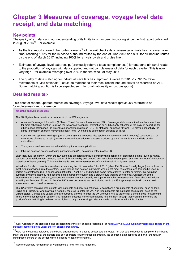# **Chapter 3 Measures of coverage, voyage level data receipt, and data matching**

## **Key points**

The quality of exit data and our understanding of its limitations has been improving since the first report published in August  $2016^{15}$ . For example,

- As the first report showed, the route coverage<sup>16</sup> of the exit checks data passenger arrivals has increased over time, reaching 100% for the in-scope outbound routes by the end of June 2015 and 89% for all inbound routes by the end of March 2017, including 100% for arrivals by air and cruise liner.
- Estimates of voyage level data receipt (previously referred to as 'completeness') for outbound air travel relate to the proportion of voyages with data supplied and not completeness of data for each traveller. This is now very high – for example averaging over 99% in the first week of May 2017
- The quality of data matching for individual travellers has improved. Overall for 2016/17, 92.7% travel movements of 'visa nationals'<sup>17</sup> could be matched to their most recent inbound arrival as recorded on API. Some matching attrition is to be expected (e.g. for dual nationality or lost passports).

## **Detailed results:-**

This chapter reports updated metrics on coverage, voyage level data receipt (previously referred to as 'completeness') and coherence.

#### **What the analysis measures**

The ISA System links data from a number of Home Office systems:

- Advance Passenger Information (API) and Travel Document Information (TDI). Passenger data is submitted in advance of travel for most scheduled aviation journeys (as Advance Passenger Information or API) but only collected at the point of departure for other modes of transport (as Travel Document Information or TDI). For statistical purposes API and TDI provide essentially the same information on travel movements apart from TDI not being submitted in advance of travel.
- Case working systems relating to (out of country) entry clearance visa application casework and (in-country) casework e.g. on extensions of leave to remain (this also includes information on statuses provided by the Channel Islands and Isle of Man authorities).
- The system used to check biometric details prior to visa applications
- Inbound passport swipes collecting passport scan (PS) data upon entry into the UK

Each individual (or identity) within the ISA system is allocated a unique identifier which consists of biographic details (such as name, passport or travel document number, date of birth, nationality and gender) and associated events (such as travel in or out of the country or periods of leave granted). This event history is used in the assessment of an individual's immigration status.

Individuals for whom there is a travel record entering the UK on or after 8 April 2015 (when Exit Checks formally began) are included in most outputs provided from the system. Some data is also held on individuals who do not meet this criteria, and this can be used in certain circumstances (e.g. if an individual left after 8 April 2015 and had had some form of leave to enter or remain, this would be sufficient evidence that they had at some point entered the country and a status could then be determined). On account of the requirement for a recorded entry, clandestine entrants are not currently in scope for compliance assessment. Data about individuals<br>travelling on European Economic Area<sup>1</sup> or UK<sup>1</sup> travel documents are not included within elsewhere on such travel movements).

The ISA system contains data on both visa nationals and non-visa nationals. Visa nationals are nationals of countries, such as India, China and Russia, for whom a visa is normally required to enter the UK. Non-visa nationals are nationals of countries, such as the United States, Canada and Japan, who are currently allowed to enter the UK without a visa as visitors for a period of up to six months There is more confidence in data on visa nationals, because more information is held on them through their visa and therefore the quality of data matching is believed to be higher so only data relating to visa nationals data is included in this chapter.

See 'A report on the statistics being collected under the exit checks programme', at [https://www.gov.uk/government/statistics/a-report-on-the](https://www.gov.uk/government/statistics/a-report-on-the-statistics-being-collected-under-the-exit-checks-programme)[statistics-being-collected-under-the-exit-checks-programme.](https://www.gov.uk/government/statistics/a-report-on-the-statistics-being-collected-under-the-exit-checks-programme)

<sup>16</sup>Here route coverage relates to there being arrangements in place to collect data on routes, not that data collection is complete. For inbound travel the data provided by the carriers and port operators is further supplemented by the additional data captured as part of the regular immigration checks at the border which is used to mitigate the shortfall.

 $17$  See the Glossary for definition of 'visa nationals' and 'non visa nationals'.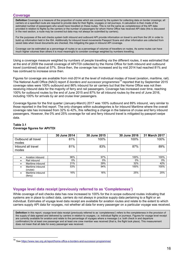## **Coverage**

**Definition** Coverage is a measure of the proportion of routes which are covered by the system for collecting data on border crossings; all carriers on a specified route are required to provide data for their flights, voyages or rail journeys. A calculation is then made of the estimated number of passengers who would have travelled on these routes. This is not the same as *completeness* of the API data provided in relation to flights by the carriers or the number of passengers for whom Home Office has received API data (this is discussed in the next section, a route may be covered but data may not always be submitted by carriers).

For the purposes of the exit checks system both inbound and outbound API provide information on travel to and from the UK in order to build up information held in the ISA. Additionally for inbound travel movements Passport Scans and other information are collected from saved data when travel documents are checked, this mitigating the gaps in inbound API coverage.

Coverage can be estimated as a percentage of routes or as a percentage of volumes of travellers on routes. As some routes can have much higher volumes than others it is most meaningful to consider coverage weighted by numbers travelling.

Using a coverage measure weighted by numbers of people travelling via the different routes, it was estimated that at the end of 2009 the overall coverage of API/TDI collected by the Home Office for both inbound and outbound travel (combined) stood at 57%. Since then, the coverage has increased and by mid 2014 had reached 81% and has continued to increase since then.

Figures for coverage are available from mid-2014 at the level of individual modes of travel (aviation, maritime, rail). The National Audit Office (NAO) report *E-borders and successor programmes<sup>18</sup>* reported that by September 2015 coverage rates were 100% outbound and 86% inbound for air carriers but that the Home Office was not then receiving inbound data for the majority of ferry and rail passengers. Coverage has increased over time, reaching 100% for outbound routes by the end of June 2015 and 87% for all inbound routes by the end of June 2016, including 100% for arrivals by air and cruise liner passengers.

Coverage figures for the first quarter (January-March) 2017 was 100% outbound and 89% inbound, very similar to those reported in the first report. The only changes within subcategories is for inbound Maritime where the overall coverage rate has increased from 32% to 42%, this reflecting a change in the balance of cruise and ferry inbound passengers. However, the 0% and 25% coverage for rail and ferry inbound travel is mitigated by passport swipe data.

### **Table 3.1 Coverage figures for API/TDI**

|                     | 30 June 2014 | 30 June 2015 | 30 June 2016 | 31 March 2017 |
|---------------------|--------------|--------------|--------------|---------------|
| Outbound all travel | 81%          | 100%         | 100%         | 100%          |
| modes               |              |              |              |               |
| Inbound all travel  | 81%          | 83%          | 87%          | 89%           |
| modes               |              |              |              |               |
|                     |              |              |              |               |
| Aviation inbound    | 96%          | 97%          | 100%         | 100%          |
| Rail inbound        | 0%           | 0%           | $0\%$        | $0\%$         |
| Maritime inbound    | 21%          | 29%          | 32%          | 42%           |
| Maritime inbound    | 53%          | 94%          | 100%         | 100%          |
| (cruise)            |              |              |              |               |
| Maritime inbound    | 16%          | 16%          | 25%          | 25%           |
| (ferry)             |              |              |              |               |

## **Voyage level data receipt (previously referred to as 'Completeness')**

While coverage of exit checks data has now increased to 100% for the in scope outbound routes indicating that systems are in place to collect data, carriers do not always in practice supply data pertaining to a flight or an individual. Estimates of voyage level data receipt are available for aviation routes and relate to the extent to which carriers supply API data for voyages, not whether all data for every passenger on a particular voyage was received.

**Definition** In this report, voyage level data receipt (previously referred to as 'completeness') refers to the completeness in the provision of the supply of data agreed and delivered by carriers in relation to voyages, i.e. individual flights or journeys. Figures for voyage level receipt are currently available for aviation and relate to the percentage of voyages where a message (i.e. both check in and departure confirmation) for at least one passenger and at least one crew member was received (that is, the flight took place). This measurement does *not* mean that all data for every passenger was received.

See<https://www.nao.org.uk/report/home-office-e-borders-and-successor-programmes/>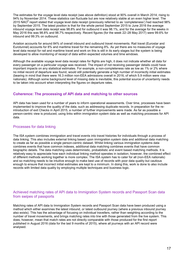The estimates for the voyage level data receipt (see above definition) stood at 90% overall in March 2014, rising to 94% by November 2014. These statistics can fluctuate but are now relatively stable at an even higher level. The 2015 NAO<sup>6</sup> report stated that voyage level data receipt (previously referred to as 'completeness') had reached 98% by September 2015. The latest position is that for the whole period September 2015 to June 2016 the average inbound voyage level data receipt was 98.8% and for outbound it was 98.1%, and for the average for the weeks in May 2016 this was 98.8% and 98.7% respectively. Recent figures (for the week 22–28 May 2017) were 99.6% for inbound and 99.3% on outbound.

Aviation accounts for around 84% of overall inbound and outbound travel movements. Rail travel (Eurostar and Eurotunnel) accounts for 8% and maritime travel for the remaining 8%. As yet there are no measures of voyage level data receipt for rail and maritime travel and work on this is still in its early stages but the system is being developed to allow monitoring of receipt of data within expected volumes and time windows.

Although the available voyage level data receipt rates for flights are high, it does not indicate whether all data for every passenger on a particular voyage was received. The impact of not receiving passenger details could have important impacts on any statistical estimates. For example, a non-completeness rate as low as 1% or 2% where no initial record of departure was found, would still potentially generate a high number of incorrectly initial estimates (bearing in mind that there were 16.3 million non-EEA admissions overall in 2016, of which 5.9 million were visa nationals). Although some background level of missing data is inevitable, this potential source of uncertainty needs to be taken into account when interpreting the figures on departure rates.

## **Coherence: The processing of API data and matching to other sources**

API data has been used for a number of years to inform operational assessments. Over time, processes have been implemented to improve the quality of the data, such as addressing duplicate records. In preparation for the reintroduction of exit Checks in April 2015, a number of further improvements were made. As far as possible a person-centric view is produced, using links within immigration system data as well as matching processes for API data.

## Processes for data linking

The ISA system combines immigration and travel events into travel histories for individuals through a process of data linking. This also includes external linking based upon immigration system data and additional data matching to create as far as possible a single person-centric dataset. Whilst linking various immigration systems data combines events that have common indexes, additional data matching combines events that have common biographic details. The data matching uses deterministic, probabilistic and event based matching methods. It is relatively easy to appreciate how each individual linking method operates in isolation; however, the combined effect of different methods working together is more complex. The ISA system has to cater for all (non-EEA nationals) and so matching needs to be intuitive enough to make best use of records with poor data quality but cautious enough to ensure that incorrect initial estimates are kept to a minimum. In doing this, work is done to also include records with limited data quality by employing multiple techniques and business logic.

## Achieved matching rates of API data to Immigration System records and Passport Scan data from swipes of passports

Matching rates of API data to Immigration System records and Passport Scan data have been produced using a method which either examines the latest inbound, or latest outbound journey (where a previous inbound journey also exists). This has the advantage of focusing on individual travellers, rather than weighting according to the number of travel movements, and brings matching rates into line with those generated from the live system. This does, however, mean that match rates are not directly comparable with those produced for the first report published in August 2016 (data for the last 9 months of 2015), where all journeys with an API record were analysed.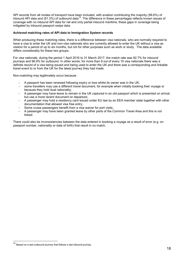API records from all modes of transport have been included, with aviation contributing the majority (99.6%) of inbound API data and (91.3%) of outbound data<sup>19</sup>. The difference in these percentages reflects known issues of coverage with no inbound API data for rail and only partial inbound maritime, these gaps in coverage being mitigated by inbound passport swipe data.

## **Achieved matching rates of API data to Immigration System records**

When producing these matching rates, there is a difference between visa nationals, who are normally required to have a visa to enter the UK and non-visa nationals who are currently allowed to enter the UK without a visa as visitors for a period of up to six months, but not for other purposes such as work or study. The data available differs considerably for these two groups.

For visa nationals, during the period 1 April 2016 to 31 March 2017, the match rate was 92.7% for inbound journeys and 96.9% for outbound. In other words, for more than 9 out of every 10 visa nationals there was a definite record of a visa being issued and being used to enter the UK and there was a corresponding and linkable travel event to or from the UK for the latest journey they had made.

Non-matching may legitimately occur because

- A passport has been renewed following expiry or loss whilst its owner was in the UK;
- some travellers may use a different travel document, for example when initially booking their voyage or because they hold dual nationality;
- A passenger may have leave to remain in the UK captured in an old passport which is presented on arrival, but use a more recent document on departure;
- A passenger may hold a residency card issued under EU law by an EEA member state together with other documentation that allowed visa free entry;
- Some cruise passengers benefit from a visa waiver for port visits;
- A passenger may have been granted leave by other parts of the Common Travel Area and this is not linked.

There could also be inconsistencies between the data entered in booking a voyage as a result of error (e.g. on passport number, nationality or date of birth) that result in no match.

<sup>&</sup>lt;sup>19</sup> Based on a last outbound journey that follows a last inbound journey.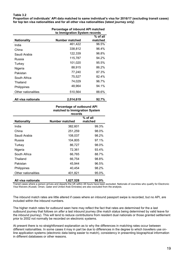## **Table 3.2**

**Proportion of individuals' API data matched to same individual's visa for 2016/17 (excluding transit cases) for top ten visa nationalities and for all other visa nationalities (latest journey only)**

|                     |                       | Percentage of inbound API matched<br>to Immigration System records |  |  |
|---------------------|-----------------------|--------------------------------------------------------------------|--|--|
| Nationality         | <b>Number matched</b> | % of all<br>matched                                                |  |  |
| India               | 461,422               | 96.5%                                                              |  |  |
| China               | 338,812               | 96.4%                                                              |  |  |
| Saudi Arabia        | 122,339               | 96.8%                                                              |  |  |
| Russia              | 115,787               | 94.2%                                                              |  |  |
| Turkey              | 101,020               | 95.5%                                                              |  |  |
| Nigeria             | 88,915                | 86.2%                                                              |  |  |
| Pakistan            | 77,240                | 87.3%                                                              |  |  |
| South Africa        | 75,527                | 82.4%                                                              |  |  |
| Thailand            | 74,029                | 96.7%                                                              |  |  |
| <b>Philippines</b>  | 48,964                | 94.1%                                                              |  |  |
| Other nationalities | 510,564               | 88.6%                                                              |  |  |
| All visa nationals  | 2,014,619             | 92.7%                                                              |  |  |

#### **Percentage of outbound API matched to Immigration System records**

|                     | 1560149        |                       |  |
|---------------------|----------------|-----------------------|--|
| <b>Nationality</b>  | Number matched | $%$ of all<br>matched |  |
| India               | 382,601        | 99.3%                 |  |
| China               | 251,259        | 98.0%                 |  |
| Saudi Arabia        | 108,037        | 98.2%                 |  |
| Russia              | 104,805        | 97.1%                 |  |
| Turkey              | 86,727         | 98.0%                 |  |
| Nigeria             | 72,361         | 93.4%                 |  |
| South Africa        | 66,765         | 88.7%                 |  |
| Thailand            | 66,754         | 98.8%                 |  |
| Pakistan            | 45,944         | 96.5%                 |  |
| <b>Philippines</b>  | 40,454         | 98.2%                 |  |
| Other nationalities | 401,821        | 95.0%                 |  |
| All visa nationals  | 1,627,528      | 96.9%                 |  |

Transit cases where a person arrives and departs the UK within 48 hours have been excluded. Nationals of countries who qualify for Electronic Visa Waivers (Kuwait, Oman, Qatar and United Arab Emirates) are also excluded from the analysis.

The inbound match rates are little altered if cases where an inbound passport swipe is recorded, but no API, are included within the inbound numbers.

The higher match rates for outbound seen here may reflect the fact that rates are determined for the a last outbound journey that follows on *after* a last inbound journey (the match status being determined by valid leave for the inbound journey). This will tend to reduce contributions from resident dual nationals or those granted settlement prior to 2002 not normally be recorded on electronic systems.

At present there is no straightforward explanation as to why the differences in matching rates occur between different nationalities. In some cases it may in part be due to differences in the degree to which travellers use online application systems (electronic data being easier to match), consistency in presenting biographical information in different databases or other reasons.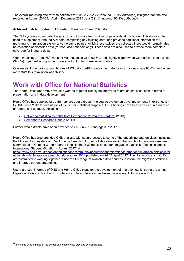The overall matching rate for visa nationals for 2016/17 (92.7% inbound, 96.9% outbound) is higher than the rate reported in August 2016 for April – December 2015 data (89.1% inbound, 90.1% outbound).

## **Achieved matching rates of API data to Passport Scan (PS) data**

The ISA system also records Passport Scan (PS) data from swipes of passports at the border. This data can be used to supplement inbound API data, completing any missing data, and provides additional information for matching to immigration systems. At the same point at which these swipes are collected there would normally also be collection of biometric data (for non-visa nationals only). These data are also used to provide more complete coverage for inbound data.

When matching API to PS<sup>20</sup> rates for visa nationals were 92.5%, and slightly higher when we restrict this to aviation (92.6%) in part reflecting limited coverage for API for non-aviation routes.

Conversely if one looks at match rates of PS data to API the matching rate for visa nationals was 93.6%, and when we restrict this to aviation was 97.8%.

# **Work with Office for National Statistics**

The Home Office and ONS have also worked together closely on improving migration statistics, both in terms of presentation and in data development.

Home Office has supplied large Semaphore data extracts (the source system on travel movements in exit checks) to ONS since 2013 for evaluation of its use for statistical purposes. ONS' findings have been included in a number of reports and updates, including

- [Delivering statistical benefits from Semaphore \(formally e-Borders\)](http://webarchive.nationalarchives.gov.uk/20160105160709/http:/www.ons.gov.uk/ons/guide-method/method-quality/imps/latest-news/delivering-statistical-benefits-from-e-borders/index.html) (2013)
- [Semaphore Research Update](https://www.ons.gov.uk/ons/guide-method/method-quality/specific/population-and-migration/population-statistics-research-unit--psru-/semaphore-research-update.doc) (2014)

Further data extracts have been provided to ONS in 2016 and again in 2017.

Home Office has also provided ONS analysts with secure access to some of the underlying data on visas, including the Migrant Journey data and "exit checks" enabling further collaborative work. The results of these analyses are summarised at Chapter 3 and reported in full in the ONS report on student migration statistics ('Technical paper: International Student Migration – August 2017' at

[https://www.ons.gov.uk/peoplepopulationandcommunity/populationandmigration/internationalmigration/articles/inter](https://www.ons.gov.uk/peoplepopulationandcommunity/populationandmigration/internationalmigration/articles/internationalstudentmigrationresearchupdate/august2017) [nationalstudentmigrationresearchupdate/august2017](https://www.ons.gov.uk/peoplepopulationandcommunity/populationandmigration/internationalmigration/articles/internationalstudentmigrationresearchupdate/august2017) published on 24<sup>th</sup> August 2017. The Home office and ONS are committed to working together to use the full range of available data sources to inform the migration statistics and improve our understanding.

Users are kept informed of ONS and Home Office plans for the development of migration statistics via the annual Migration Statistics User Forum conference. The conference has taken place every Autumn since 2011.

Including checks made at the border of biometric data provided by visa holders.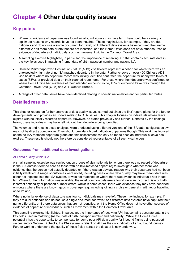# **Chapter 4 Other data quality issues**

## **Key points**

- Where no evidence of departure was found initially, individuals may have left. There could be a variety of legitimate reasons why records have not been matched. These may include, for example, if they are dual nationals and do not use a single document for travel; or if different data systems have captured their name differently; or if there data errors that are not identified; or if the Home Office does not have other sources of evidence of departure of individuals, such as movement within the Common Travel Area.
- A sampling exercise highlighted, in particular, the importance of receiving API that contains accurate data in the key fields used in matching (name, date of birth, passport number and nationality).
- Chinese Visitor 'Approved Destination Status' (ADS) visa holders represent a cohort for which there was an unexpectedly high rate of no ISA-matched departure in the data. Further checks on over 400 Chinese ADS visa holders where no departure record was initially identified confirmed the departure for nearly two thirds of cases (63%), or provided data on their planned route home. For those where their departure was confirmed or where Home Office had evidence of their intended outbound route, 43% of outbound travel was through the Common Travel Area (CTA) and 21% was via Europe.
- A range of other data issues have been identified relating to specific nationalities and for particular routes.

## **Detailed results:-**

This chapter reports on further analyses of data quality issues carried out since the first<sup>t</sup> report, plans for the further developments, and provides an update relating to CTA issues. This chapter focuses on individuals whose leave expired with no initially recorded departure. However, as stated previously and further illustrated by the findings below, these individuals may have left without their departure being identified.

The volumes and rates in these analyses were produced using different versions of the ISA data, so figures below may not be directly comparable. They should provide a broad indication of patterns though. This work has focused on the no ISA-matched departure group and this assessment can only be made once an individual's leave has expired. These results should not therefore be considered representative of all such visa holders.

## **Outcomes from additional data investigations**

## API data quality within ISA

A small sampling exercise was carried out on groups of visa nationals for whom there was no record of departure in the ISA dataset (termed here as those with no ISA-matched departure) to investigate whether there was evidence that the person had actually departed or if there was an obvious reason why their departure had not been initially identified. A range of outcomes were noted, including cases where data quality may have meant data was either not ingested into the ISA system, or was not matched, or where there was evidence individuals had in fact left. Where further information was available, the most common data errors found were an incorrect Date of Birth, incorrect nationality or passport number errors, whilst in some cases, there was evidence they may have departed on routes where there are known gaps in coverage (e.g. including joining a cruise or general maritime, or travelling on to Ireland).

Where no initial evidence of departure was found, individuals may have left. These may include, for example, if they are dual nationals and do not use a single document for travel; or if different data systems have captured their name differently; or if there data errors that are not identified; or if the Home Office does not have other sources of evidence of departure of individuals, such as movement within the Common Travel Area.

This sampling exercise highlighted, in particular, the importance of receiving API that contains accurate data in the key fields used in matching (name, date of birth, passport number and nationality). While the Home Office potentially has the opportunity to compensate for some poor API data quality for inbound flights using passport swipes and/or Secure ID checks, the ISA system is reliant on API as the only indicator of an outbound journey. Further work to understand the quality of these fields across the dataset is now underway.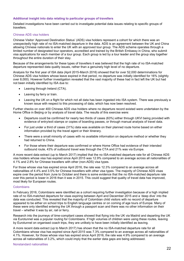## **Additional insight into data relating to particular groups of travellers**

Detailed investigations have been carried out to investigate potential data issues relating to specific groups of travellers.

## Chinese ADS visa holders

Chinese Visitor 'Approved Destination Status' (ADS) visa holders represent a cohort for which there was an unexpectedly high rate of no ISA-matched departure in the data. ADS is an agreement between the UK and China allowing Chinese nationals to enter the UK with an approved tour group. The ADS scheme operates through a limited number of designated tour operators, accredited and trained by the British Embassy in China, who submit visa applications for each member of a tour group. Each group is led by a tour leader and the group stay together throughout the entire duration of their stay.

Because of the arrangements for these types of travellers it was believed that the high rate of no ISA-matched departure represented data quality issues, rather than a genuinely high level of no departure.

Analysis for the first year of ISA data (April 2015-March 2016) showed that for over 52,000 determinations for Chinese ADS visa holders whose leave expired in that period, no departure was initially identified for 16% (slightly over 8,000). However further investigation revealed that the vast majority of these had in fact left the UK but had not been initially identified by ISA due to:

- Leaving through Ireland (CTA).
- Leaving by ferry or train.
- Leaving the UK on a flight for which not all data has been ingested into ISA system. There was previously a known issue with respect to this processing of data, which has now been resolved.

Further checks on over 400 Chinese ADS visa holders where no departure record existed were undertaken by the Home Office in Beijing or by analysis of travel data. The results of this exercise were:

- Departure could be confirmed for nearly two thirds of cases (63%) either through UKVI being provided with evidence of entry/exit stamps or copies of boarding passes, or through manual analysis of travel data.
- For just under a third of cases (31%) data was available on their planned route home based on either information provided by the travel agent or their itinerary.
- There were a small minority of cases with no available information on departure method or whether they had returned to China.
- For those where their departure was confirmed or where Home Office had evidence of their intended outbound route, 43% of outbound travel was through the CTA and 21% was via Europe.

A more recent data extract (up to March 2017) implied that the no ISA-matched departure rate for all Chinese ADS visa holders whose visa has expired since April 2015 was 12.9% compared to an average across all nationalities of 4.1% and 2.8% for Chinese travellers with other (non-ADS) visa types.

For those whose visa has expired since April 2016, the rate was 12.3% compared to an average across all nationalities of 4.4% and 3.5% for Chinese travellers with other visa types. The majority of Chinese ADS visas expire over the period from June to October and there is some evidence that the no ISA-matched departure rate over this period is lower in 2016 than it was in 2015. This could suggest that quality of travel data has improved, most likely for European routes.

### **Colombians**

In February 2016, Colombians were identified as a cohort requiring further investigation because of a high implied rate of no ISA-matched departure for visas expiring between April and December 2015 and a 'deep dive' into the data was conducted. This revealed that the majority of Colombian child visitors with no record of departure appeared to be either on school trips to English language centres or on coming of age tours of Europe. Many of these were only identified entering the UK through a passport scan and there was no other information on their travel – whether it was by air, rail or ferry.

Research into the journeys of time-compliant cases showed that flying into the UK via Madrid and departing the UK via Eurotunnel was a popular routing for Colombians. If high volumes of children were using these routes, leaving by Eurotunnel on organised coach trips, they are unlikely to have been initially identified as leaving.

A more recent data extract (up to March 2017) has shown that the no ISA-matched departure rate for all Colombians whose visa has expired since April 2015 was 7.3% compared to an average across all nationalities of 4.1%. However, for those whose visa has expired since April 2016, the rate was 4.9% compared to an average across all nationalities of 3.2%, which could imply that the earlier data gaps are being addressed.

#### Nonstandard nationalities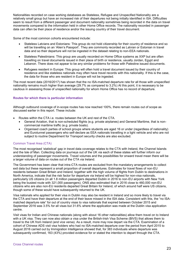Nationalities recorded on case working databases as Stateless, Refugee and Unspecified Nationality are a relatively small group but have an increased risk of their departures not being initially identified in ISA. Difficulties seem to result from a different passenger and document nationality sometimes being recorded in the data on travel movements compared to the information held in other Home Office records. The nationality recorded in passenger data can often be their place of residence and/or the issuing country of their travel document.

Some of the most common cohorts encountered include:

- Stateless Latvians and Estonians: This group do not hold citizenship for their country of residence and so will be travelling on an 'Alien's Passport'. They are commonly recorded as Latvian or Estonian in travel data and so their departure will not be ingested in the dataset relating to non-EEA nationals.
- Stateless Palestinians: This group are usually recorded on Home Office systems as XXP but are often travelling on travel documents issued in their place of birth or residence, usually Jordan, Egypt and Lebanon. There does not appear to be any similar problems for those with Palestine issued documents.
- Refugees resident in Europe: This group will often hold a travel document issued by their country of residence and like stateless nationals may often have travel records with this nationality. If this is the case, the data for those who are resident in Europe will not be ingested.

The most recent data (2016/2017) has shown that the no ISA-matched departure rate for all those with unspecified nationality remains much higher than average (29.7% as compared to 3.2%) At this point, it is necessary to be cautious in assessing those of unspecified nationality for whom Home Office has no record of departure.

## **Routes for which there is particular information**

Although outbound coverage of in-scope routes has now reached 100%, there remain routes out of scope as discussed earlier in this report. These include:

- Routes within the CTA i.e. routes between the UK and rest of the CTA.
	- General Aviation, that is non-scheduled flights (e.g. private airplanes) and General Maritime, that is noncommercial maritime traffic (e.g. private boats).
	- Organised coach parties of school groups where students are aged 16 or under (regardless of nationality) and Eurotunnel passengers who self-declare as EEA nationals travelling in a light vehicle and who are not subject to routine Department for Transport security checks are also excluded.

## Common Travel Area (CTA)

The most recognised 'statistical' gap in travel data coverage relates to the CTA with Ireland, the Channel Islands and the Isle of Man. Collecting data on journeys out of the UK via each of these states will further inform our understanding of passenger movements. Travel volumes and the possibilities for onward travel mean there will be a larger volume of data on routes out of the CTA via Ireland.

The Government has been clear that intra-CTA routes are excluded from the mandatory arrangements to collect exit data but these represent a small proportion of overall departures. Estimates for travel flows of non-EU residents between Great Britain and Ireland, together with the high volume of flights from Dublin to destinations in North America, indicate that the risk factor for departure via Ireland will be highest for non-visa nationals, particularly US citizens (in all 1.8 million passengers departed Dublin in 2016 to non-EU airports with New York being the busiest route with 321,000 passengers). ONS also estimated that in 2016 close to 460,000 non-EU citizens who are also non-EU residents departed Great Britain for Ireland, of which around half were US citizens, though some of these would have subsequently returned to the UK.

Visa nationals who applied for their visa in Dublin may also be resident in Ireland and so more likely to travel via the CTA and have their departure at the end of their leave missed in the ISA data. Consistent with this, the "no ISAmatched departure rate" for out of country visas to visa nationals that expired between October 2015 and September 2016 was 3.5% for all visas but 31.6% where the application was made at the Dublin visa application centre.

Visit visas for Indian and Chinese nationals (along with about 16 other nationalities) allow them travel on to Ireland with a UK visa. They can now also obtain a visa under the British-Irish Visa Scheme (BIVS) that allows them to travel to the UK from Ireland (and vice versa). As a result, more may now depart via the CTA. Examination of a cohort of Chinese ADS visit visa holders who had no ISA-matched departure over the period from April 2015 to August 2016 carried out by Immigration Intelligence showed that, for 383 individuals where departure was subsequently confirmed, 163 (43%) provided evidence for or stated the intention to depart through the CTA.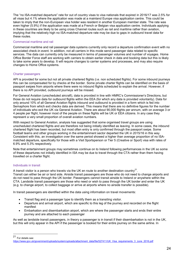The "no ISA-matched departure" rate for out of country visas to visa nationals that expired in 2016/17 was 2.5% for all visas but 4.1% where the application was made at a mainland Europe visa application centre. This could be taken to imply that the non-European visa holder was resident in another European member state. The rate was even higher (5.9%) if the application was made at a French or Belgian visa application centre. Individuals applying in these countries are likely to be using cross Channel routes such as rail and maritime rather than aviation, implying that the relatively high no ISA-matched departure rate may be due to gaps in outbound travel data for these routes.

## Commercial maritime and rail

Commercial maritime and rail passenger data systems currently only record a departure confirmation event with no associated check-in event. In addition, not all carriers in this mode send passenger data related to specific services. The data can currently only be measured in terms of passenger volumes and number of voyages. Home Office Border Force staff are working with carriers to obtain earlier check in data and booking data but this is likely to take some years to develop. It will require changes to carrier systems and processes, and may also require changes to Home Office systems.

### Charter passengers

API is provided for some but not all private chartered flights (i.e. non scheduled flights). For some inbound journeys this can be compensated for by checks at the border. Some private charter flights can be identified on the basis of passport swipes from airports where there were no inbound flights scheduled to explain the arrival. However, if there is no API provided, outbound journeys will be missed.

For General Aviation (unscheduled aircraft), data is provided in line with HMRC's Commissioner's Directions, but those do not require data for outbound flights within the EEA (for which any data is provided voluntarily). Data for only around 10% of all General Aviation flights inbound and outbound is provided in a form which is fed into Semaphore from which exit checks data are derived. This means that there are no definitive figures for the number of individuals who exit the UK via General Aviation. There are about 90,000 flights per annum, with on average 3 or 4 people per flight, however most of the people on these flights will be UK or EEA citizens. In any case they represent a very small proportion of overall aviation numbers.

With respect to General Aviation, analysis has suggested that some organised travel groups are using unscheduled chartered flights and are therefore not being initially identified as leaving. In some cases, the inbound chartered flight has been recorded, but most often entry is only confirmed through the passport swipe. Some football teams and other groups working in the entertainment sector departed the UK in 2015/16 in this way. Consistent with this, an investigation over the same period showed a higher than average proportion of no ISAmatched departure, specifically for those with a Visit Sportsperson or Tier 5 (Creative or Sport) visa with rates of 6.9% and 5.3% respectively.

Note that entertainment groups may sometimes continue on to Ireland following performances in the UK so some of these departures not initially identified in ISA may be due to travel through the CTA rather than them having travelled on a charter flight.

### Individuals in transit

A transit visitor is a person who travels via the UK en route to another destination country<sup>21</sup>.

Transit can either be air or land side. Airside transit passengers are those who do not need to change airports and do not need to pass through the UK border. Passengers cannot transit airside to Ireland or anywhere within the CTA. Landside transit passengers are those who need or wish to pass through the UK border and enter the UK (e.g. to change airport, to collect baggage or arrive at airports where no airside transfer is possible).

In transit passengers are identified within the data using information on travel movements:

- Transit flag and a passenger type to identify them as a transiting visitor.
- Departure and arrival airport, which are specific to this leg of the journey and recorded on the flight manifest
- Embarkation and disembarkation airport, which are where the passenger starts and ends their entire journey and are attached to each passenger

As well as landside transit passengers, in theory a passenger is in transit if their disembarkation is not in the UK, but this will only appear in the API if the passenger is booked for their entire journey on the same airline. In

 $21$ For details see:

[https://www.gov.uk/government/uploads/system/uploads/attachment\\_data/file/527411/UK\\_Visa\\_requirements\\_3\\_June\\_2016.pdf](https://www.gov.uk/government/uploads/system/uploads/attachment_data/file/527411/UK_Visa_requirements_3_June_2016.pdf)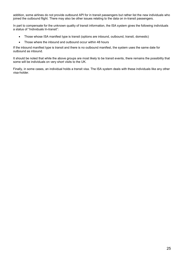addition, some airlines do not provide outbound API for in transit passengers but rather list the new individuals who joined the outbound flight. There may also be other issues relating to the data on in-transit passengers.

In part to compensate for the unknown quality of transit information, the ISA system gives the following individuals a status of "Individuals In-transit":

- Those whose ISA manifest type is transit (options are inbound, outbound, transit, domestic)
- Those where the inbound and outbound occur within 48 hours

If the inbound manifest type is transit and there is no outbound manifest, the system uses the same date for outbound as inbound.

It should be noted that while the above groups are most likely to be transit events, there remains the possibility that some will be individuals on very short visits to the UK.

Finally, in some cases, an individual holds a transit visa. The ISA system deals with these individuals like any other visa-holder.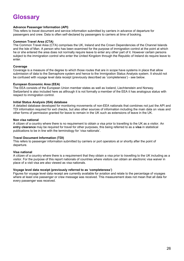# **Glossary**

## **Advance Passenger Information (API)**

This refers to travel document and service information submitted by carriers in advance of departure for passengers and crew. Data is often self-declared by passengers to carriers at time of booking.

## **Common Travel Area (CTA)**

The Common Travel Area (CTA) comprises the UK, Ireland and the Crown Dependencies of the Channel Islands and the Isle of Man. A person who has been examined for the purpose of immigration control at the point at which he or she entered the area does not normally require leave to enter any other part of it. However certain persons subject to the immigration control who enter the United Kingdom through the Republic of Ireland do require leave to enter.

### **Coverage**

Coverage is a measure of the degree to which those routes that are in scope have systems in place that allow submission of data to the Semaphore system and hence to the Immigration Status Analysis system. It should not be confused with voyage level data receipt (previously described as 'completeness') - see below.

### **European Economic Area (EEA)**

The EEA consists of the European Union member states as well as Iceland, Liechtenstein and Norway. Switzerland is also included here as although it is not formally a member of the EEA it has analogous status with respect to immigration control.

### **Initial Status Analysis (ISA) database**

A detailed database developed for monitoring movements of non-EEA nationals that combines not just the API and TDI information required for exit checks, but also other sources of information including the main data on visas and other forms of permission granted for leave to remain in the UK such as extensions of leave in the UK.

### **Non visa national**

A citizen of a country where there is no requirement to obtain a visa prior to travelling to the UK as a visitor. An **entry clearance** may be required for travel for other purposes, this being referred to as a **visa** in statistical publications to be in line with the terminology for 'visa nationals'.

### **Travel Document Information (TDI)**

This refers to passenger information submitted by carriers or port operators at or shortly after the point of departure.

### **Visa national**

A citizen of a country where there is a requirement that they obtain a visa prior to travelling to the UK including as a visitor. For the purpose of this report nationals of countries where visitors can obtain an electronic visa waiver in place of a visit visa are also viewed as visa nationals.

## **Voyage level data receipt (previously referred to as 'completeness')**

Figures for voyage level data receipt are currently available for aviation and relate to the percentage of voyages where at least one passenger or crew message was received. This measurement does not mean that all data for every passenger was received.